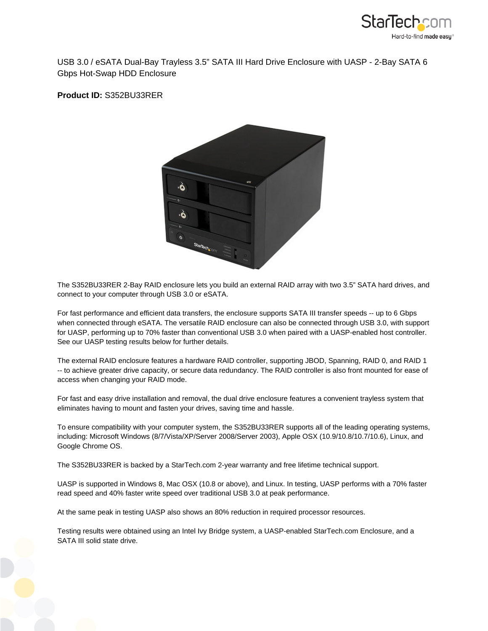

USB 3.0 / eSATA Dual-Bay Trayless 3.5" SATA III Hard Drive Enclosure with UASP - 2-Bay SATA 6 Gbps Hot-Swap HDD Enclosure

**Product ID:** S352BU33RER



The S352BU33RER 2-Bay RAID enclosure lets you build an external RAID array with two 3.5" SATA hard drives, and connect to your computer through USB 3.0 or eSATA.

For fast performance and efficient data transfers, the enclosure supports SATA III transfer speeds -- up to 6 Gbps when connected through eSATA. The versatile RAID enclosure can also be connected through USB 3.0, with support for UASP, performing up to 70% faster than conventional USB 3.0 when paired with a UASP-enabled host controller. See our UASP testing results below for further details.

The external RAID enclosure features a hardware RAID controller, supporting JBOD, Spanning, RAID 0, and RAID 1 -- to achieve greater drive capacity, or secure data redundancy. The RAID controller is also front mounted for ease of access when changing your RAID mode.

For fast and easy drive installation and removal, the dual drive enclosure features a convenient trayless system that eliminates having to mount and fasten your drives, saving time and hassle.

To ensure compatibility with your computer system, the S352BU33RER supports all of the leading operating systems, including: Microsoft Windows (8/7/Vista/XP/Server 2008/Server 2003), Apple OSX (10.9/10.8/10.7/10.6), Linux, and Google Chrome OS.

The S352BU33RER is backed by a StarTech.com 2-year warranty and free lifetime technical support.

UASP is supported in Windows 8, Mac OSX (10.8 or above), and Linux. In testing, UASP performs with a 70% faster read speed and 40% faster write speed over traditional USB 3.0 at peak performance.

At the same peak in testing UASP also shows an 80% reduction in required processor resources.

Testing results were obtained using an Intel Ivy Bridge system, a UASP-enabled StarTech.com Enclosure, and a SATA III solid state drive.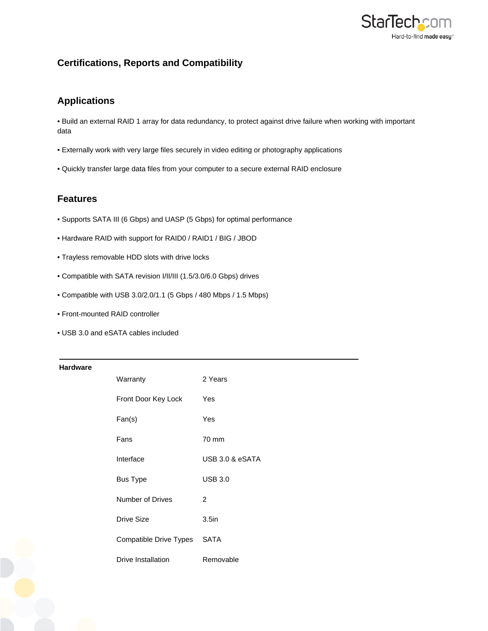

# **Certifications, Reports and Compatibility**

## **Applications**

• Build an external RAID 1 array for data redundancy, to protect against drive failure when working with important data

- Externally work with very large files securely in video editing or photography applications
- Quickly transfer large data files from your computer to a secure external RAID enclosure

### **Features**

- Supports SATA III (6 Gbps) and UASP (5 Gbps) for optimal performance
- Hardware RAID with support for RAID0 / RAID1 / BIG / JBOD
- Trayless removable HDD slots with drive locks
- Compatible with SATA revision I/II/III (1.5/3.0/6.0 Gbps) drives
- Compatible with USB 3.0/2.0/1.1 (5 Gbps / 480 Mbps / 1.5 Mbps)
- Front-mounted RAID controller
- USB 3.0 and eSATA cables included

#### **Hardware**

| Warranty               | 2 Years           |
|------------------------|-------------------|
| Front Door Key Lock    | Yes               |
| Fan(s)                 | Yes               |
| Fans                   | 70 mm             |
| Interface              | USB 3.0 & eSATA   |
| <b>Bus Type</b>        | $USB$ 3.0         |
| Number of Drives       | $\mathcal{P}$     |
| Drive Size             | 3.5 <sub>in</sub> |
| Compatible Drive Types | <b>SATA</b>       |
| Drive Installation     | Removable         |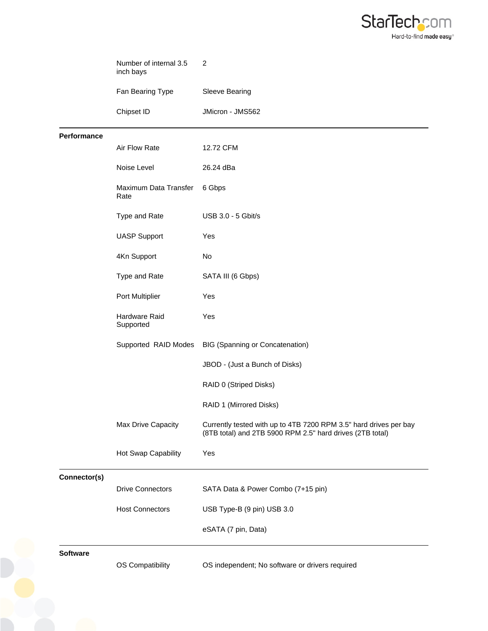

| Sleeve Bearing                                                                                                                 |
|--------------------------------------------------------------------------------------------------------------------------------|
|                                                                                                                                |
| JMicron - JMS562                                                                                                               |
|                                                                                                                                |
| 12.72 CFM                                                                                                                      |
| 26.24 dBa                                                                                                                      |
| 6 Gbps                                                                                                                         |
| USB 3.0 - 5 Gbit/s                                                                                                             |
|                                                                                                                                |
|                                                                                                                                |
| SATA III (6 Gbps)                                                                                                              |
|                                                                                                                                |
|                                                                                                                                |
| <b>BIG (Spanning or Concatenation)</b>                                                                                         |
| JBOD - (Just a Bunch of Disks)                                                                                                 |
| RAID 0 (Striped Disks)                                                                                                         |
| RAID 1 (Mirrored Disks)                                                                                                        |
| Currently tested with up to 4TB 7200 RPM 3.5" hard drives per bay<br>(8TB total) and 2TB 5900 RPM 2.5" hard drives (2TB total) |
|                                                                                                                                |
|                                                                                                                                |
| SATA Data & Power Combo (7+15 pin)                                                                                             |
| USB Type-B (9 pin) USB 3.0                                                                                                     |
| eSATA (7 pin, Data)                                                                                                            |
| OS independent; No software or drivers required                                                                                |
|                                                                                                                                |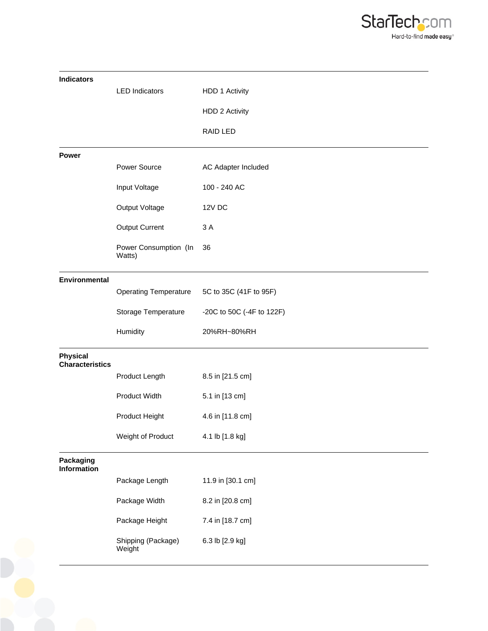

| <b>Indicators</b>                         |                                 |                           |
|-------------------------------------------|---------------------------------|---------------------------|
|                                           | <b>LED Indicators</b>           | HDD 1 Activity            |
|                                           |                                 | HDD 2 Activity            |
|                                           |                                 | RAID LED                  |
| <b>Power</b>                              |                                 |                           |
|                                           | Power Source                    | AC Adapter Included       |
|                                           | Input Voltage                   | 100 - 240 AC              |
|                                           | Output Voltage                  | <b>12V DC</b>             |
|                                           | <b>Output Current</b>           | 3 A                       |
|                                           | Power Consumption (In<br>Watts) | 36                        |
| <b>Environmental</b>                      |                                 |                           |
|                                           | <b>Operating Temperature</b>    | 5C to 35C (41F to 95F)    |
|                                           | Storage Temperature             | -20C to 50C (-4F to 122F) |
|                                           | Humidity                        | 20%RH~80%RH               |
| <b>Physical</b><br><b>Characteristics</b> |                                 |                           |
|                                           | Product Length                  | 8.5 in [21.5 cm]          |
|                                           | Product Width                   | 5.1 in [13 cm]            |
|                                           | Product Height                  | 4.6 in [11.8 cm]          |
|                                           | Weight of Product               | 4.1 lb [1.8 kg]           |
| Packaging<br><b>Information</b>           |                                 |                           |
|                                           | Package Length                  | 11.9 in [30.1 cm]         |
|                                           | Package Width                   | 8.2 in [20.8 cm]          |
|                                           | Package Height                  | 7.4 in [18.7 cm]          |
|                                           | Shipping (Package)<br>Weight    | 6.3 lb [2.9 kg]           |
|                                           |                                 |                           |